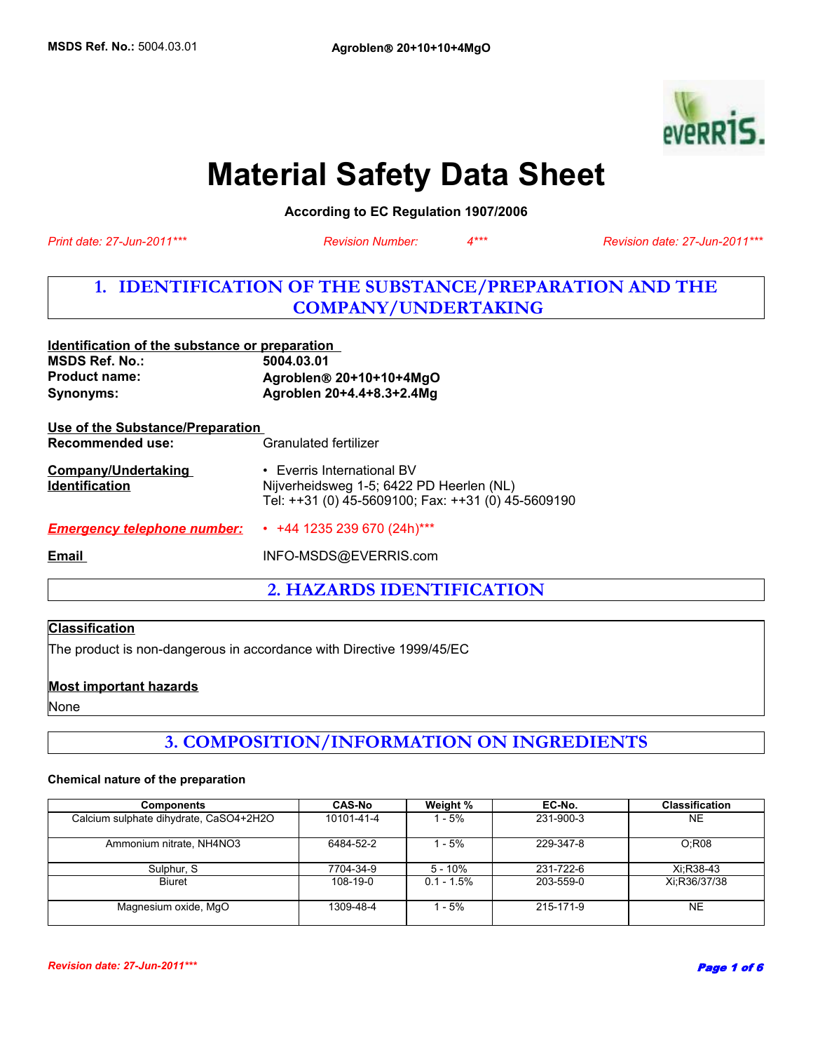

# **Material Safety Data Sheet**

**According to EC Regulation 1907/2006** 

*Revision Number: 4\*\*\**

*Print date: 27-Jun-2011\*\*\* Revision date: 27-Jun-2011\*\*\**

# **1. IDENTIFICATION OF THE SUBSTANCE/PREPARATION AND THE COMPANY/UNDERTAKING**

| identification of the substance or preparation<br><b>MSDS Ref. No.:</b><br><b>Product name:</b><br>Synonyms: | 5004.03.01<br>Agroblen <sup>®</sup> 20+10+10+4MgO<br>Agroblen 20+4.4+8.3+2.4Mg                                                     |
|--------------------------------------------------------------------------------------------------------------|------------------------------------------------------------------------------------------------------------------------------------|
| Use of the Substance/Preparation<br>Recommended use:                                                         | Granulated fertilizer                                                                                                              |
| <b>Company/Undertaking</b><br><b>Identification</b>                                                          | $\cdot$ Everris International BV<br>Nijverheidsweg 1-5; 6422 PD Heerlen (NL)<br>Tel: ++31 (0) 45-5609100; Fax: ++31 (0) 45-5609190 |
| <b>Emergency telephone number:</b>                                                                           | $\cdot$ +44 1235 239 670 (24h)***                                                                                                  |
| <b>Email</b>                                                                                                 | INFO-MSDS@EVERRIS.com                                                                                                              |
|                                                                                                              |                                                                                                                                    |

**2. HAZARDS IDENTIFICATION**

# **Classification**

The product is non-dangerous in accordance with Directive 1999/45/EC

**Identification of the substance or preparation** 

# **Most important hazards**

None

# **3. COMPOSITION/INFORMATION ON INGREDIENTS**

#### **Chemical nature of the preparation**

| <b>Components</b>                      | <b>CAS-No</b> | Weight %     | EC-No.    | <b>Classification</b> |
|----------------------------------------|---------------|--------------|-----------|-----------------------|
| Calcium sulphate dihydrate, CaSO4+2H2O | 10101-41-4    | - 5%         | 231-900-3 | <b>NE</b>             |
| Ammonium nitrate, NH4NO3               | 6484-52-2     | $-5%$        | 229-347-8 | O:R08                 |
| Sulphur, S.                            | 7704-34-9     | 5 - 10%      | 231-722-6 | Xi:R38-43             |
| <b>Biuret</b>                          | $108-19-0$    | $0.1 - 1.5%$ | 203-559-0 | Xi:R36/37/38          |
| Magnesium oxide, MgO                   | 1309-48-4     | - 5%         | 215-171-9 | <b>NE</b>             |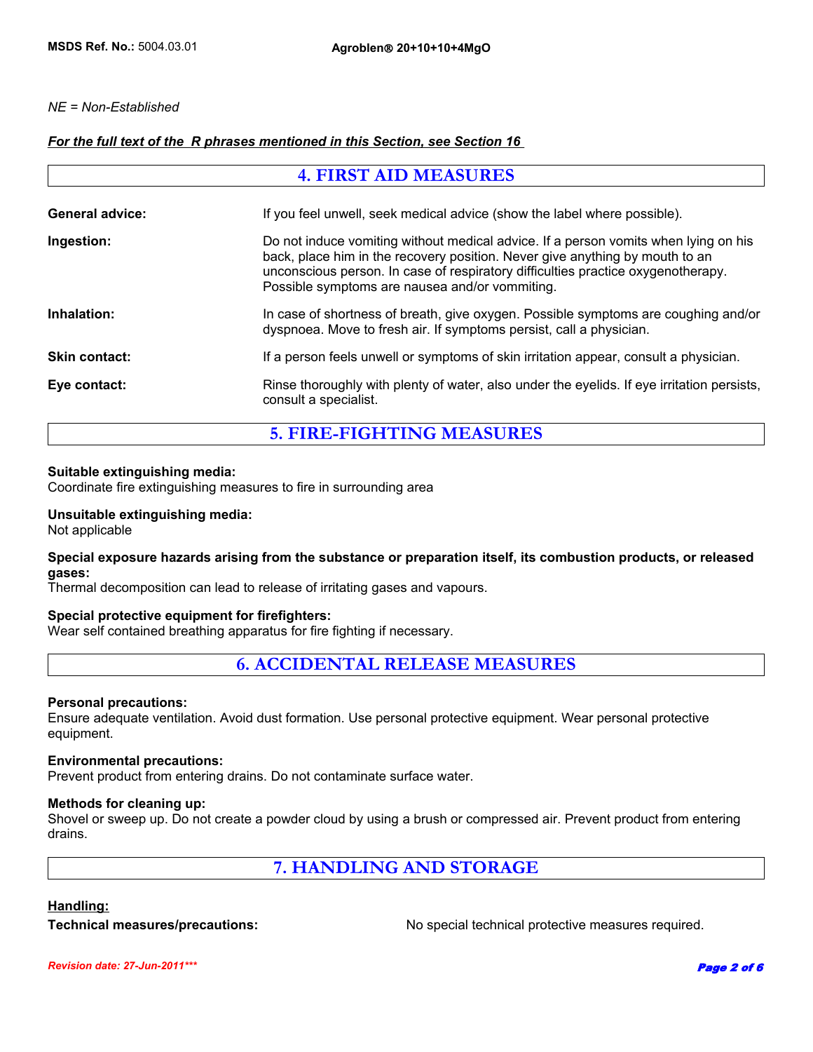# *NE = Non-Established*

# *For the full text of the R phrases mentioned in this Section, see Section 16*

| <b>4. FIRST AID MEASURES</b> |                                                                                                                                                                                                                                                                                                           |
|------------------------------|-----------------------------------------------------------------------------------------------------------------------------------------------------------------------------------------------------------------------------------------------------------------------------------------------------------|
| <b>General advice:</b>       | If you feel unwell, seek medical advice (show the label where possible).                                                                                                                                                                                                                                  |
| Ingestion:                   | Do not induce vomiting without medical advice. If a person vomits when lying on his<br>back, place him in the recovery position. Never give anything by mouth to an<br>unconscious person. In case of respiratory difficulties practice oxygenotherapy.<br>Possible symptoms are nausea and/or vommiting. |
| Inhalation:                  | In case of shortness of breath, give oxygen. Possible symptoms are coughing and/or<br>dyspnoea. Move to fresh air. If symptoms persist, call a physician.                                                                                                                                                 |
| <b>Skin contact:</b>         | If a person feels unwell or symptoms of skin irritation appear, consult a physician.                                                                                                                                                                                                                      |
| Eye contact:                 | Rinse thoroughly with plenty of water, also under the eyelids. If eye irritation persists,<br>consult a specialist.                                                                                                                                                                                       |

**5. FIRE-FIGHTING MEASURES**

# **Suitable extinguishing media:**

Coordinate fire extinguishing measures to fire in surrounding area

#### **Unsuitable extinguishing media:**

Not applicable

# **Special exposure hazards arising from the substance or preparation itself, its combustion products, or released gases:**

Thermal decomposition can lead to release of irritating gases and vapours.

# **Special protective equipment for firefighters:**

Wear self contained breathing apparatus for fire fighting if necessary.

# **6. ACCIDENTAL RELEASE MEASURES**

#### **Personal precautions:**

Ensure adequate ventilation. Avoid dust formation. Use personal protective equipment. Wear personal protective equipment.

#### **Environmental precautions:**

Prevent product from entering drains. Do not contaminate surface water.

# **Methods for cleaning up:**

Shovel or sweep up. Do not create a powder cloud by using a brush or compressed air. Prevent product from entering drains.

# **7. HANDLING AND STORAGE**

# **Handling:**

**Technical measures/precautions:** No special technical protective measures required.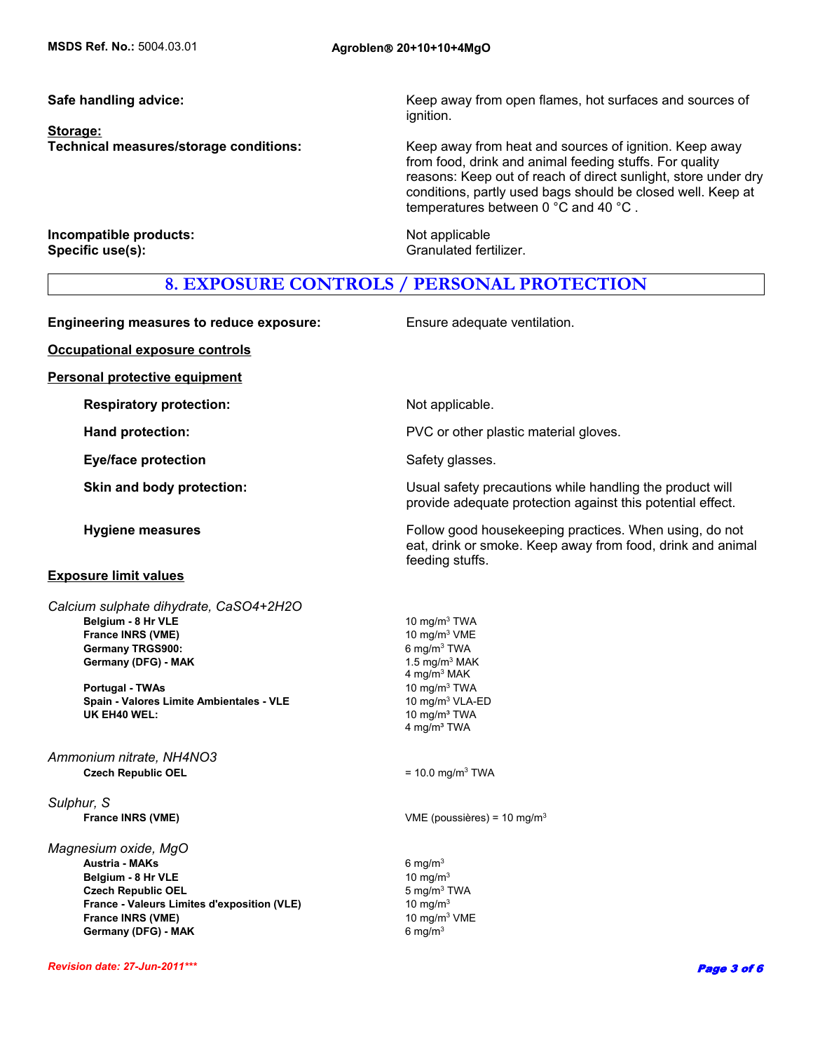**Storage:**

**Safe handling advice:** Keep away from open flames, hot surfaces and sources of ignition.

**Technical measures/storage conditions:** Keep away from heat and sources of ignition. Keep away from food, drink and animal feeding stuffs. For quality reasons: Keep out of reach of direct sunlight, store under dry conditions, partly used bags should be closed well. Keep at temperatures between 0 °C and 40 °C .

**Incompatible products:** Not applicable **Specific use(s):** Granulated fertilizer.

# **8. EXPOSURE CONTROLS / PERSONAL PROTECTION**

**Engineering measures to reduce exposure:** Ensure adequate ventilation. **Occupational exposure controls Personal protective equipment Respiratory protection:** Not applicable. **Hand protection: EXECUTE:** PVC or other plastic material gloves. **Eye/face protection** Safety glasses. **Skin and body protection: Example 20 ISUAL State Usual safety precautions while handling the product will** provide adequate protection against this potential effect. **Hygiene measures Follow good housekeeping practices. When using, do not all proportional controller in Follow good housekeeping practices. When using, do not** eat, drink or smoke. Keep away from food, drink and animal feeding stuffs. **Exposure limit values Czech Republic OEL** = 10.0 mg/m<sup>3</sup> TWA **Germany TRGS900:** 6 mg/m<sup>3</sup> TWA *Sulphur, S* **France INRS (VME) CONSERVING THE CONSTRUCTER STATE (POUSSIÈRES)** = 10 mg/m<sup>3</sup> *Magnesium oxide, MgO* Germany (DFG) - MAK 1.5 mg/m<sup>3</sup> MAK 4 mg/m3 MAK  **Austria - MAKs** 6 mg/m3 **Belgium - 8 Hr VLE** 10 mg/m<sup>3</sup> TWA **Belgium - 8 Hr VLE** 10 mg/m<sup>3</sup>  **Portugal - TWAs Czech Republic OEL** 5 mg/m3 TWA 10 mg/m3 TWA **France - Valeurs Limites d'exposition (VLE)** 10 mg/m<sup>3</sup> *Calcium sulphate dihydrate, CaSO4+2H2O* **France INRS (VME)** 10 mg/m<sup>3</sup> VME **Spain - Valores Limite Ambientales - VLE** 10 mg/m<sup>3</sup> VLA-ED **Germany (DFG) - MAK** 6 mg/m<sup>3</sup>  **France INRS (VME) UK EH40 WEL:** 10 mg/m<sup>3</sup> TWA 4 mg/m<sup>3</sup> TWA 10 mg/m3 VME *Ammonium nitrate, NH4NO3*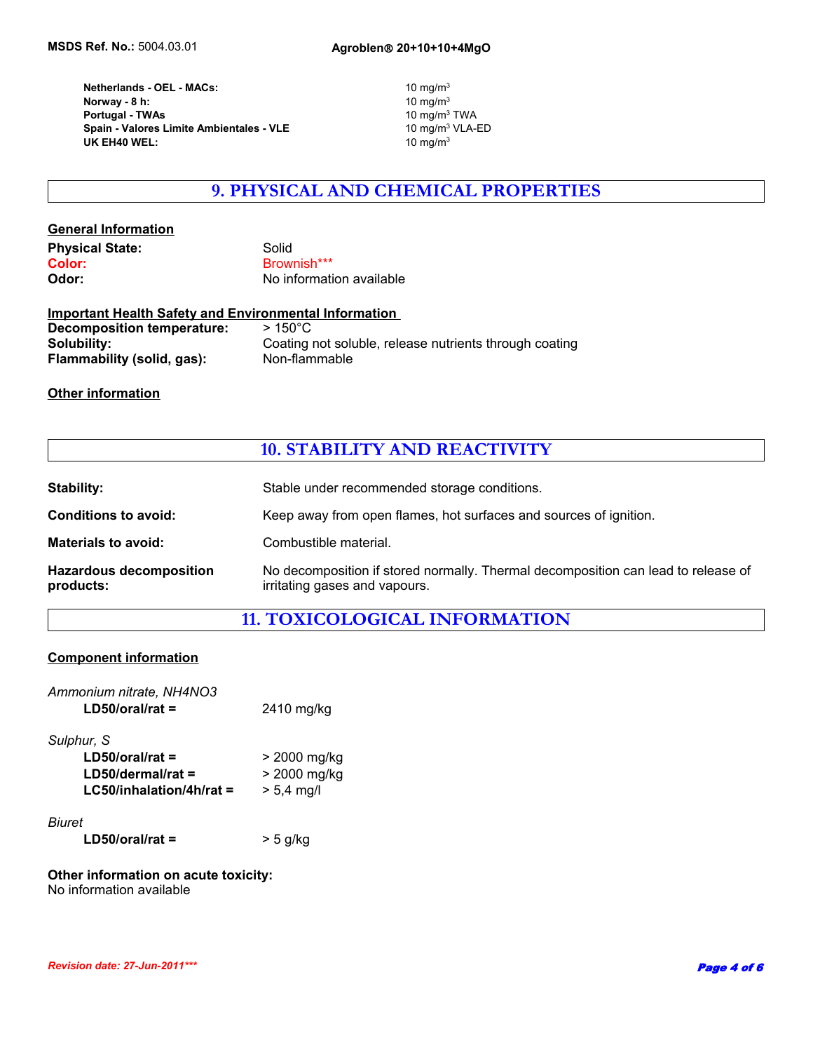**UK EH40 WEL:** 10 mg/m<sup>3</sup>  **Norway - 8 h: Portugal - TWAs** 10 mg/m3 TWA **Netherlands - OEL - MACs: Spain - Valores Limite Ambientales - VLE** 

10  $mg/m<sup>3</sup>$ 10  $mg/m<sup>3</sup>$ 

# **9. PHYSICAL AND CHEMICAL PROPERTIES**

# **General Information Physical State:** Solid Color: Solid Color: Brownish\*\*\* **Odor:** No information available

| <b>Important Health Safety and Environmental Information</b> |                                                        |  |
|--------------------------------------------------------------|--------------------------------------------------------|--|
| Decomposition temperature:                                   | $>150^{\circ}$ C                                       |  |
| Solubility:                                                  | Coating not soluble, release nutrients through coating |  |
| Flammability (solid, gas):                                   | Non-flammable                                          |  |

# **Other information**

# **10. STABILITY AND REACTIVITY**

| Stability:                                  | Stable under recommended storage conditions.                                                                       |
|---------------------------------------------|--------------------------------------------------------------------------------------------------------------------|
| <b>Conditions to avoid:</b>                 | Keep away from open flames, hot surfaces and sources of ignition.                                                  |
| <b>Materials to avoid:</b>                  | Combustible material.                                                                                              |
| <b>Hazardous decomposition</b><br>products: | No decomposition if stored normally. Thermal decomposition can lead to release of<br>irritating gases and vapours. |

# **11. TOXICOLOGICAL INFORMATION**

# **Component information**

| Ammonium nitrate, NH4NO3<br>$LD50/oral/rat =$ | 2410 mg/kg   |
|-----------------------------------------------|--------------|
| Sulphur, S                                    |              |
| $LD50/oral/rat =$                             | > 2000 mg/kg |
| $LD50/dermal/rat =$                           | > 2000 mg/kg |
| $LG50$ /inhalation/4h/rat =                   | $> 5.4$ mg/l |
| <b>Biuret</b>                                 |              |
| $LD50/oral/rat =$                             | > 5 g/kg     |
|                                               |              |

#### **Other information on acute toxicity:** No information available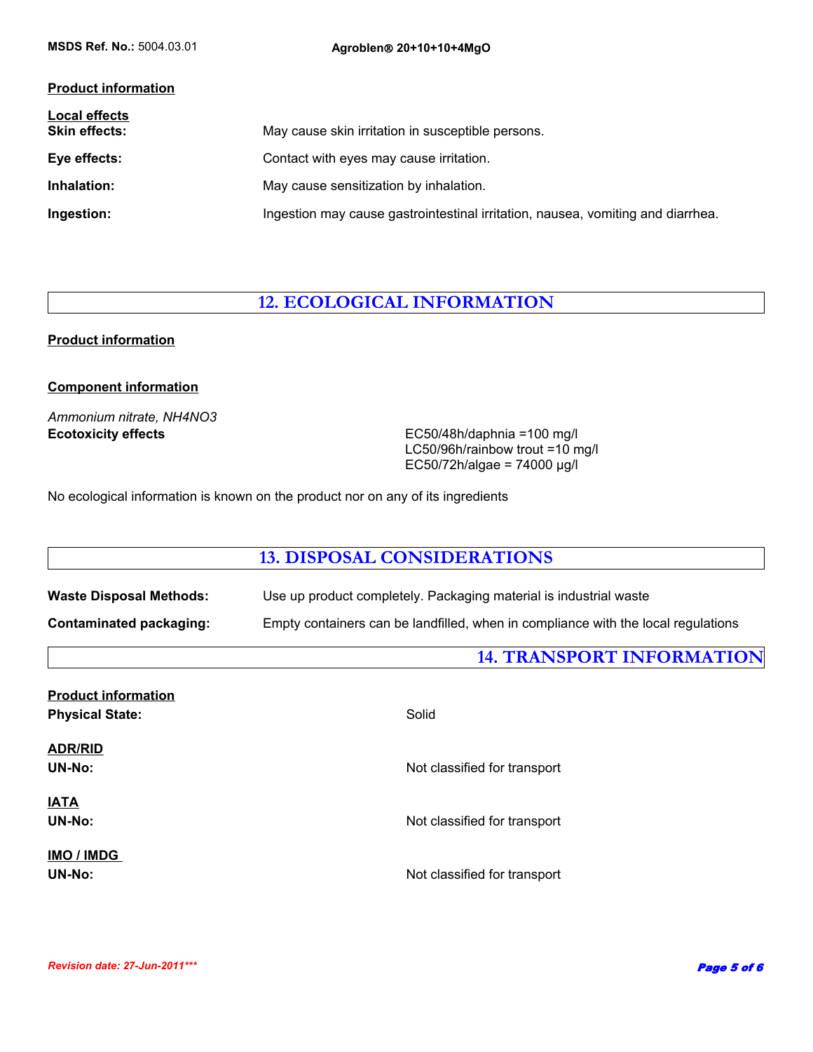# **Product information**

| <b>Local effects</b><br><b>Skin effects:</b> | May cause skin irritation in susceptible persons.                               |
|----------------------------------------------|---------------------------------------------------------------------------------|
| Eye effects:                                 | Contact with eyes may cause irritation.                                         |
| Inhalation:                                  | May cause sensitization by inhalation.                                          |
| Ingestion:                                   | Ingestion may cause gastrointestinal irritation, nausea, vomiting and diarrhea. |

# **12. ECOLOGICAL INFORMATION**

# **Product information**

# **Component information**

*Ammonium nitrate, NH4NO3*

**Ecotoxicity effects** EC50/48h/daphnia =100 mg/l LC50/96h/rainbow trout =10 mg/l EC50/72h/algae = 74000 µg/l

No ecological information is known on the product nor on any of its ingredients

|                                | <b>13. DISPOSAL CONSIDERATIONS</b>                                                |  |
|--------------------------------|-----------------------------------------------------------------------------------|--|
| <b>Waste Disposal Methods:</b> | Use up product completely. Packaging material is industrial waste                 |  |
| <b>Contaminated packaging:</b> | Empty containers can be landfilled, when in compliance with the local regulations |  |
|                                | <b>14. TRANSPORT INFORMATION</b>                                                  |  |
| <b>Product information</b>     |                                                                                   |  |
| <b>Physical State:</b>         | Solid                                                                             |  |
| <b>ADR/RID</b>                 |                                                                                   |  |
| <b>UN-No:</b>                  | Not classified for transport                                                      |  |
| <b>IATA</b>                    |                                                                                   |  |
| <b>UN-No:</b>                  | Not classified for transport                                                      |  |
| IMO / IMDG                     |                                                                                   |  |
| <b>UN-No:</b>                  | Not classified for transport                                                      |  |